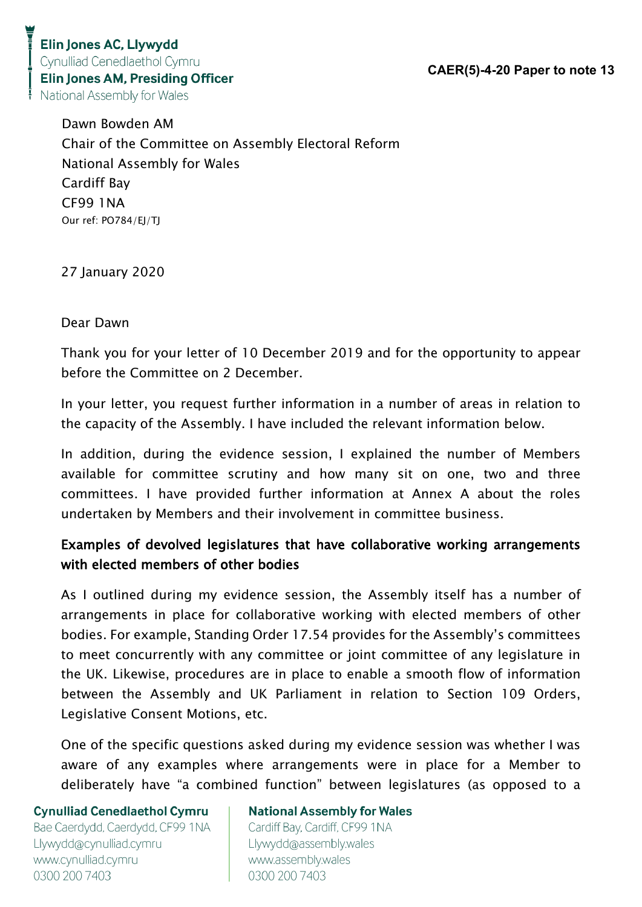> Dawn Bowden AM Chair of the Committee on Assembly Electoral Reform National Assembly for Wales Cardiff Bay CF99 1NA Our ref: PO784/EJ/TJ

27 January 2020

#### Dear Dawn

Thank you for your letter of 10 December 2019 and for the opportunity to appear before the Committee on 2 December.

In your letter, you request further information in a number of areas in relation to the capacity of the Assembly. I have included the relevant information below.

In addition, during the evidence session, I explained the number of Members available for committee scrutiny and how many sit on one, two and three committees. I have provided further information at Annex A about the roles undertaken by Members and their involvement in committee business.

## Examples of devolved legislatures that have collaborative working arrangements with elected members of other bodies

As I outlined during my evidence session, the Assembly itself has a number of arrangements in place for collaborative working with elected members of other bodies. For example, Standing Order 17.54 provides for the Assembly's committees to meet concurrently with any committee or joint committee of any legislature in the UK. Likewise, procedures are in place to enable a smooth flow of information between the Assembly and UK Parliament in relation to Section 109 Orders, Legislative Consent Motions, etc.

One of the specific questions asked during my evidence session was whether I was aware of any examples where arrangements were in place for a Member to deliberately have "a combined function" between legislatures (as opposed to a

#### **Cynulliad Cenedlaethol Cymru**

Bae Caerdydd, Caerdydd, CF99 1NA Llywydd@cynulliad.cymru www.cynulliad.cymru 0300 200 7403

#### **National Assembly for Wales**

Cardiff Bay, Cardiff, CF99 1NA Llywydd@assembly.wales www.assembly.wales 0300 200 7403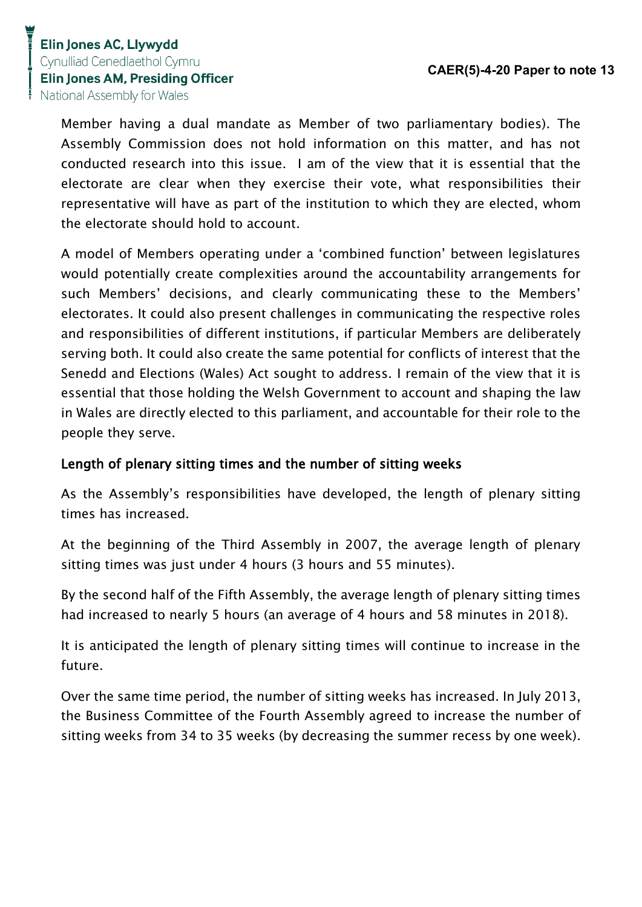Member having a dual mandate as Member of two parliamentary bodies). The Assembly Commission does not hold information on this matter, and has not conducted research into this issue. I am of the view that it is essential that the electorate are clear when they exercise their vote, what responsibilities their representative will have as part of the institution to which they are elected, whom the electorate should hold to account.

A model of Members operating under a 'combined function' between legislatures would potentially create complexities around the accountability arrangements for such Members' decisions, and clearly communicating these to the Members' electorates. It could also present challenges in communicating the respective roles and responsibilities of different institutions, if particular Members are deliberately serving both. It could also create the same potential for conflicts of interest that the Senedd and Elections (Wales) Act sought to address. I remain of the view that it is essential that those holding the Welsh Government to account and shaping the law in Wales are directly elected to this parliament, and accountable for their role to the people they serve.

#### Length of plenary sitting times and the number of sitting weeks

As the Assembly's responsibilities have developed, the length of plenary sitting times has increased.

At the beginning of the Third Assembly in 2007, the average length of plenary sitting times was just under 4 hours (3 hours and 55 minutes).

By the second half of the Fifth Assembly, the average length of plenary sitting times had increased to nearly 5 hours (an average of 4 hours and 58 minutes in 2018).

It is anticipated the length of plenary sitting times will continue to increase in the future.

Over the same time period, the number of sitting weeks has increased. In July 2013, the Business Committee of the Fourth Assembly agreed to increase the number of sitting weeks from 34 to 35 weeks (by decreasing the summer recess by one week).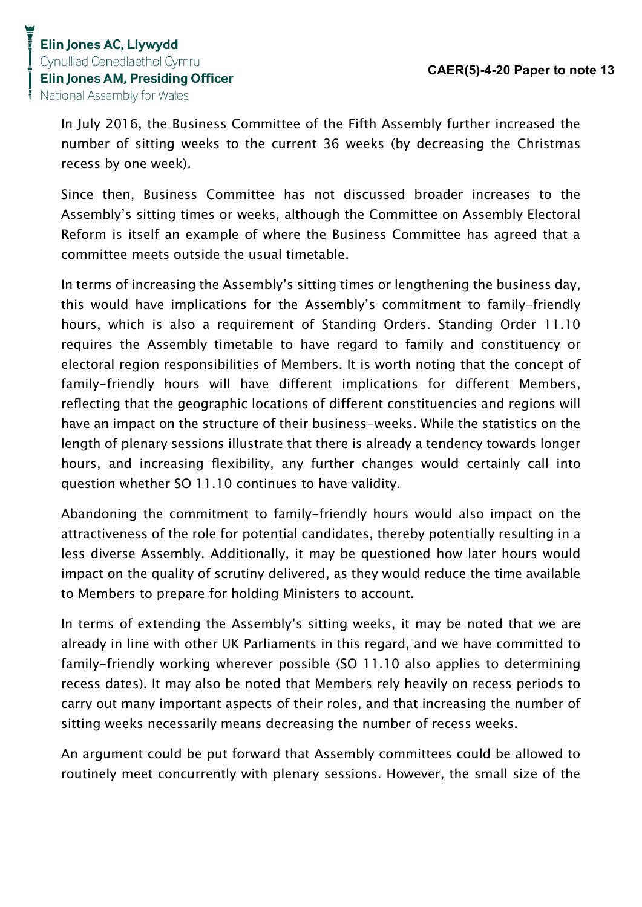In July 2016, the Business Committee of the Fifth Assembly further increased the number of sitting weeks to the current 36 weeks (by decreasing the Christmas recess by one week).

Since then, Business Committee has not discussed broader increases to the Assembly's sitting times or weeks, although the Committee on Assembly Electoral Reform is itself an example of where the Business Committee has agreed that a committee meets outside the usual timetable.

In terms of increasing the Assembly's sitting times or lengthening the business day, this would have implications for the Assembly's commitment to family-friendly hours, which is also a requirement of Standing Orders. Standing Order 11.10 requires the Assembly timetable to have regard to family and constituency or electoral region responsibilities of Members. It is worth noting that the concept of family-friendly hours will have different implications for different Members, reflecting that the geographic locations of different constituencies and regions will have an impact on the structure of their business-weeks. While the statistics on the length of plenary sessions illustrate that there is already a tendency towards longer hours, and increasing flexibility, any further changes would certainly call into question whether SO 11.10 continues to have validity.

Abandoning the commitment to family-friendly hours would also impact on the attractiveness of the role for potential candidates, thereby potentially resulting in a less diverse Assembly. Additionally, it may be questioned how later hours would impact on the quality of scrutiny delivered, as they would reduce the time available to Members to prepare for holding Ministers to account.

In terms of extending the Assembly's sitting weeks, it may be noted that we are already in line with other UK Parliaments in this regard, and we have committed to family-friendly working wherever possible (SO 11.10 also applies to determining recess dates). It may also be noted that Members rely heavily on recess periods to carry out many important aspects of their roles, and that increasing the number of sitting weeks necessarily means decreasing the number of recess weeks.

An argument could be put forward that Assembly committees could be allowed to routinely meet concurrently with plenary sessions. However, the small size of the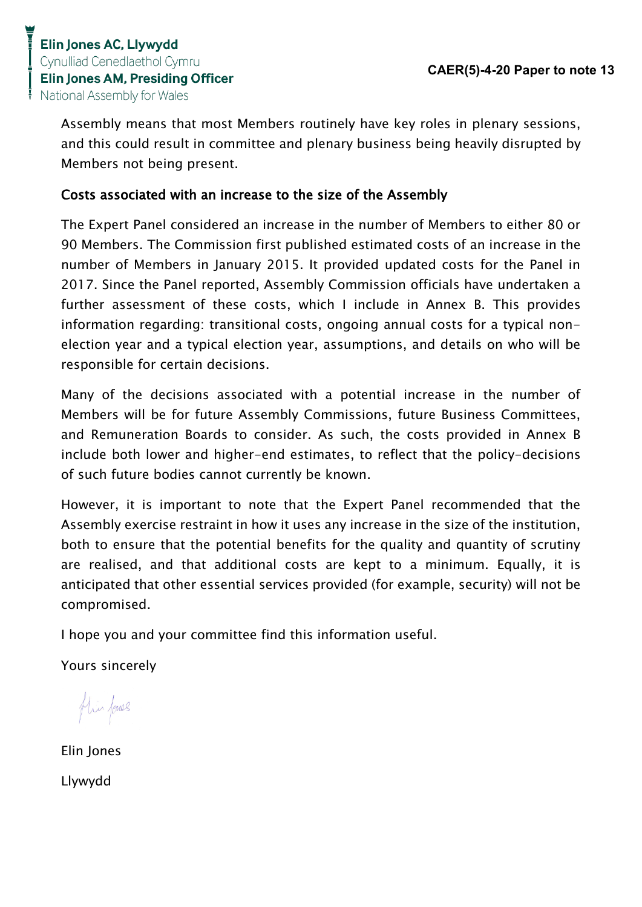Assembly means that most Members routinely have key roles in plenary sessions, and this could result in committee and plenary business being heavily disrupted by Members not being present.

## Costs associated with an increase to the size of the Assembly

The Expert Panel considered an increase in the number of Members to either 80 or 90 Members. The Commission first published estimated costs of an increase in the number of Members in January 2015. It provided updated costs for the Panel in 2017. Since the Panel reported, Assembly Commission officials have undertaken a further assessment of these costs, which I include in Annex B. This provides information regarding: transitional costs, ongoing annual costs for a typical nonelection year and a typical election year, assumptions, and details on who will be responsible for certain decisions.

Many of the decisions associated with a potential increase in the number of Members will be for future Assembly Commissions, future Business Committees, and Remuneration Boards to consider. As such, the costs provided in Annex B include both lower and higher-end estimates, to reflect that the policy-decisions of such future bodies cannot currently be known.

However, it is important to note that the Expert Panel recommended that the Assembly exercise restraint in how it uses any increase in the size of the institution, both to ensure that the potential benefits for the quality and quantity of scrutiny are realised, and that additional costs are kept to a minimum. Equally, it is anticipated that other essential services provided (for example, security) will not be compromised.

I hope you and your committee find this information useful.

Yours sincerely

flin forces

Elin Jones Llywydd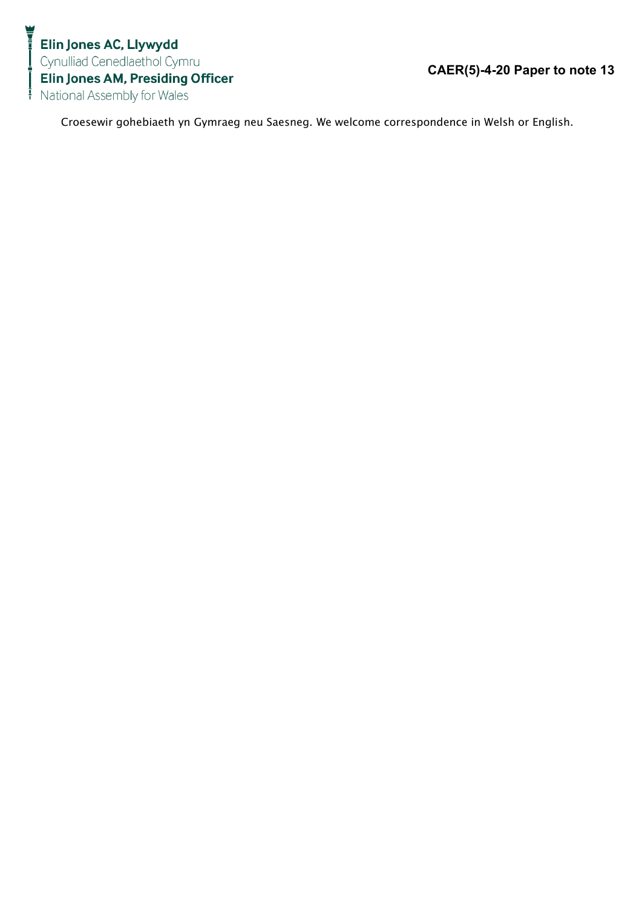Croesewir gohebiaeth yn Gymraeg neu Saesneg. We welcome correspondence in Welsh or English.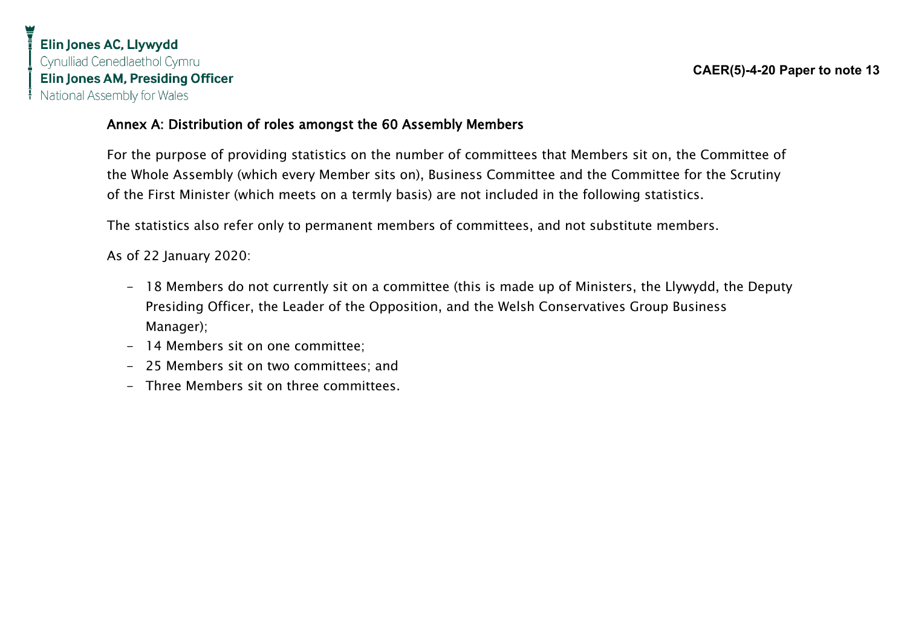## Annex A: Distribution of roles amongst the 60 Assembly Members

For the purpose of providing statistics on the number of committees that Members sit on, the Committee of the Whole Assembly (which every Member sits on), Business Committee and the Committee for the Scrutiny of the First Minister (which meets on a termly basis) are not included in the following statistics.

The statistics also refer only to permanent members of committees, and not substitute members.

As of 22 January 2020:

- 18 Members do not currently sit on a committee (this is made up of Ministers, the Llywydd, the Deputy Presiding Officer, the Leader of the Opposition, and the Welsh Conservatives Group Business Manager);
- 14 Members sit on one committee;
- 25 Members sit on two committees; and
- Three Members sit on three committees.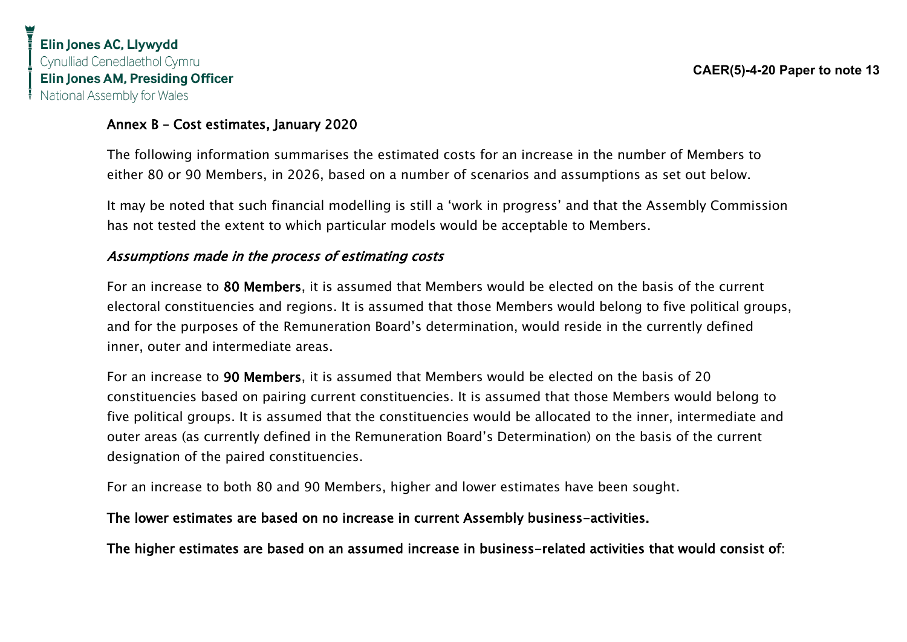#### Annex B – Cost estimates, January 2020

The following information summarises the estimated costs for an increase in the number of Members to either 80 or 90 Members, in 2026, based on a number of scenarios and assumptions as set out below.

It may be noted that such financial modelling is still a 'work in progress' and that the Assembly Commission has not tested the extent to which particular models would be acceptable to Members.

#### Assumptions made in the process of estimating costs

For an increase to 80 Members, it is assumed that Members would be elected on the basis of the current electoral constituencies and regions. It is assumed that those Members would belong to five political groups, and for the purposes of the Remuneration Board's determination, would reside in the currently defined inner, outer and intermediate areas.

For an increase to 90 Members, it is assumed that Members would be elected on the basis of 20 constituencies based on pairing current constituencies. It is assumed that those Members would belong to five political groups. It is assumed that the constituencies would be allocated to the inner, intermediate and outer areas (as currently defined in the Remuneration Board's Determination) on the basis of the current designation of the paired constituencies.

For an increase to both 80 and 90 Members, higher and lower estimates have been sought.

#### The lower estimates are based on no increase in current Assembly business-activities.

The higher estimates are based on an assumed increase in business-related activities that would consist of: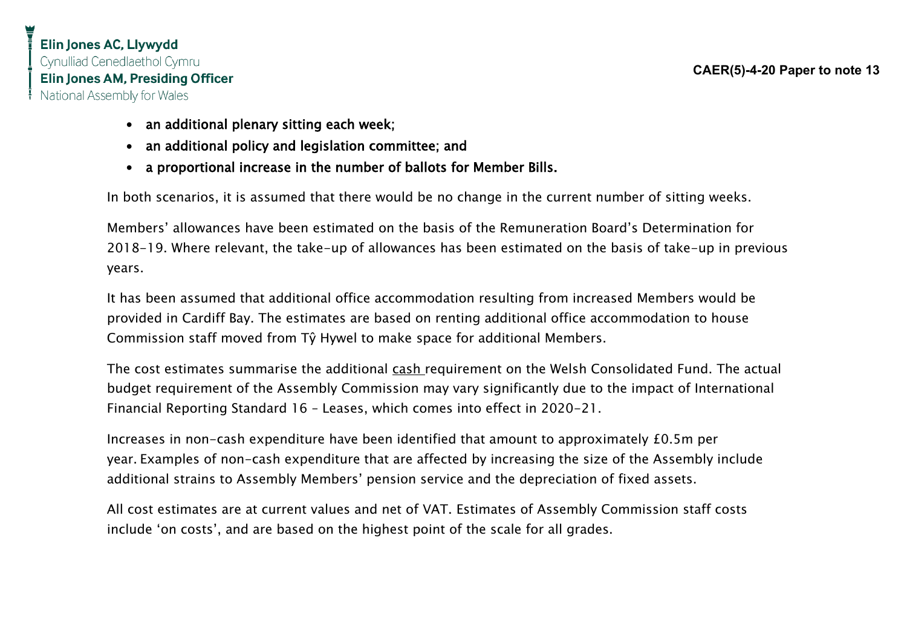- an additional plenary sitting each week;
- an additional policy and legislation committee; and
- a proportional increase in the number of ballots for Member Bills.

In both scenarios, it is assumed that there would be no change in the current number of sitting weeks.

Members' allowances have been estimated on the basis of the Remuneration Board's Determination for 2018-19. Where relevant, the take-up of allowances has been estimated on the basis of take-up in previous years.

It has been assumed that additional office accommodation resulting from increased Members would be provided in Cardiff Bay. The estimates are based on renting additional office accommodation to house Commission staff moved from Tŷ Hywel to make space for additional Members.

The cost estimates summarise the additional cash requirement on the Welsh Consolidated Fund. The actual budget requirement of the Assembly Commission may vary significantly due to the impact of International Financial Reporting Standard 16 – Leases, which comes into effect in 2020-21.

Increases in non-cash expenditure have been identified that amount to approximately £0.5m per year. Examples of non-cash expenditure that are affected by increasing the size of the Assembly include additional strains to Assembly Members' pension service and the depreciation of fixed assets.

All cost estimates are at current values and net of VAT. Estimates of Assembly Commission staff costs include 'on costs', and are based on the highest point of the scale for all grades.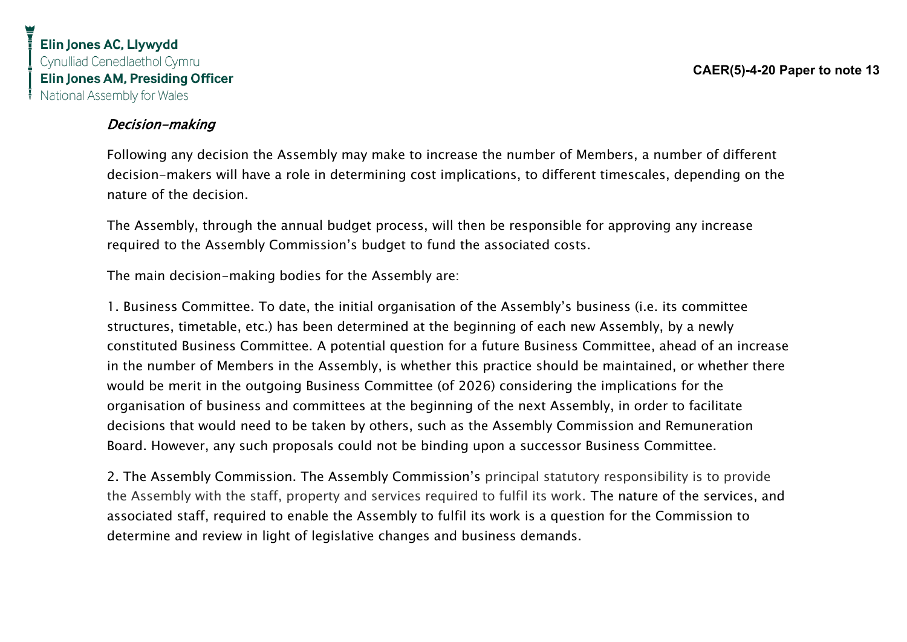### Decision-making

Following any decision the Assembly may make to increase the number of Members, a number of different decision-makers will have a role in determining cost implications, to different timescales, depending on the nature of the decision.

The Assembly, through the annual budget process, will then be responsible for approving any increase required to the Assembly Commission's budget to fund the associated costs.

The main decision-making bodies for the Assembly are:

1. Business Committee. To date, the initial organisation of the Assembly's business (i.e. its committee structures, timetable, etc.) has been determined at the beginning of each new Assembly, by a newly constituted Business Committee. A potential question for a future Business Committee, ahead of an increase in the number of Members in the Assembly, is whether this practice should be maintained, or whether there would be merit in the outgoing Business Committee (of 2026) considering the implications for the organisation of business and committees at the beginning of the next Assembly, in order to facilitate decisions that would need to be taken by others, such as the Assembly Commission and Remuneration Board. However, any such proposals could not be binding upon a successor Business Committee.

2. The Assembly Commission. The Assembly Commission's principal statutory responsibility is to provide the Assembly with the staff, property and services required to fulfil its work. The nature of the services, and associated staff, required to enable the Assembly to fulfil its work is a question for the Commission to determine and review in light of legislative changes and business demands.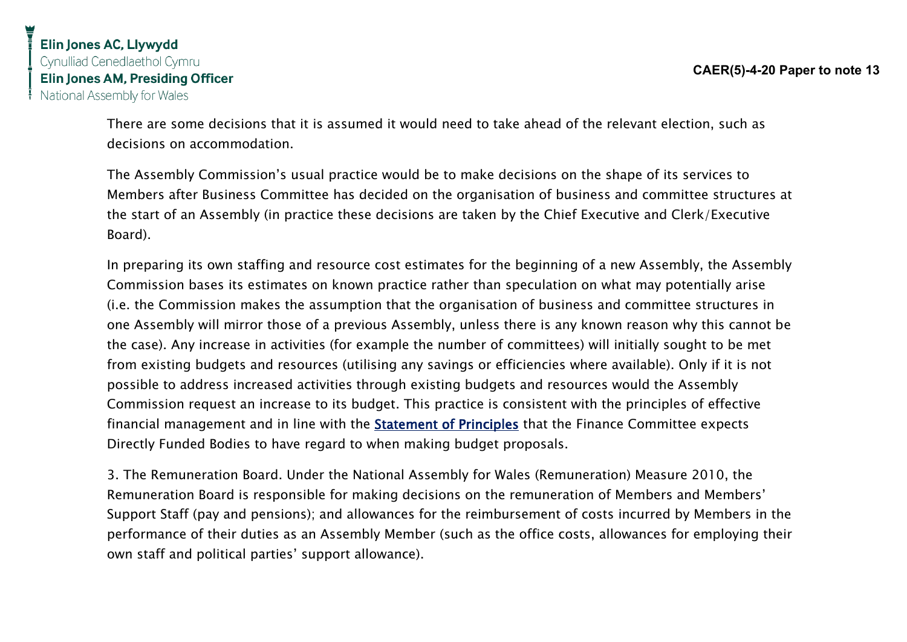There are some decisions that it is assumed it would need to take ahead of the relevant election, such as decisions on accommodation.

The Assembly Commission's usual practice would be to make decisions on the shape of its services to Members after Business Committee has decided on the organisation of business and committee structures at the start of an Assembly (in practice these decisions are taken by the Chief Executive and Clerk/Executive Board).

In preparing its own staffing and resource cost estimates for the beginning of a new Assembly, the Assembly Commission bases its estimates on known practice rather than speculation on what may potentially arise (i.e. the Commission makes the assumption that the organisation of business and committee structures in one Assembly will mirror those of a previous Assembly, unless there is any known reason why this cannot be the case). Any increase in activities (for example the number of committees) will initially sought to be met from existing budgets and resources (utilising any savings or efficiencies where available). Only if it is not possible to address increased activities through existing budgets and resources would the Assembly Commission request an increase to its budget. This practice is consistent with the principles of effective financial management and in line with the [Statement of Principles](http://senedd.assembly.wales/documents/s88393/Statement%20of%20Principles%20-%20May%202019.pdf) that the Finance Committee expects Directly Funded Bodies to have regard to when making budget proposals.

3. The Remuneration Board. Under the National Assembly for Wales (Remuneration) Measure 2010, the Remuneration Board is responsible for making decisions on the remuneration of Members and Members' Support Staff (pay and pensions); and allowances for the reimbursement of costs incurred by Members in the performance of their duties as an Assembly Member (such as the office costs, allowances for employing their own staff and political parties' support allowance).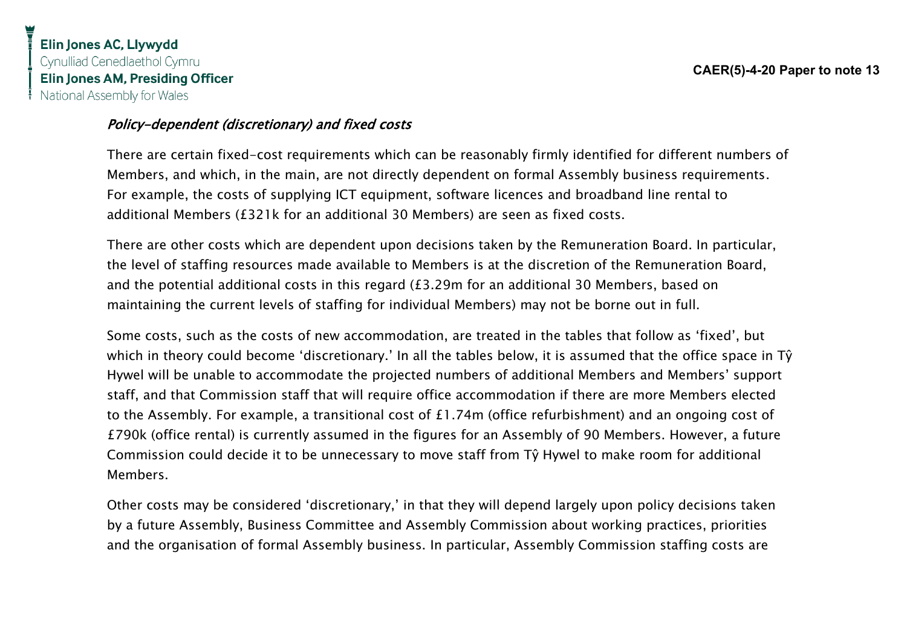### Policy-dependent (discretionary) and fixed costs

There are certain fixed-cost requirements which can be reasonably firmly identified for different numbers of Members, and which, in the main, are not directly dependent on formal Assembly business requirements. For example, the costs of supplying ICT equipment, software licences and broadband line rental to additional Members (£321k for an additional 30 Members) are seen as fixed costs.

There are other costs which are dependent upon decisions taken by the Remuneration Board. In particular, the level of staffing resources made available to Members is at the discretion of the Remuneration Board, and the potential additional costs in this regard (£3.29m for an additional 30 Members, based on maintaining the current levels of staffing for individual Members) may not be borne out in full.

Some costs, such as the costs of new accommodation, are treated in the tables that follow as 'fixed', but which in theory could become 'discretionary.' In all the tables below, it is assumed that the office space in Tŷ Hywel will be unable to accommodate the projected numbers of additional Members and Members' support staff, and that Commission staff that will require office accommodation if there are more Members elected to the Assembly. For example, a transitional cost of £1.74m (office refurbishment) and an ongoing cost of £790k (office rental) is currently assumed in the figures for an Assembly of 90 Members. However, a future Commission could decide it to be unnecessary to move staff from Tŷ Hywel to make room for additional Members.

Other costs may be considered 'discretionary,' in that they will depend largely upon policy decisions taken by a future Assembly, Business Committee and Assembly Commission about working practices, priorities and the organisation of formal Assembly business. In particular, Assembly Commission staffing costs are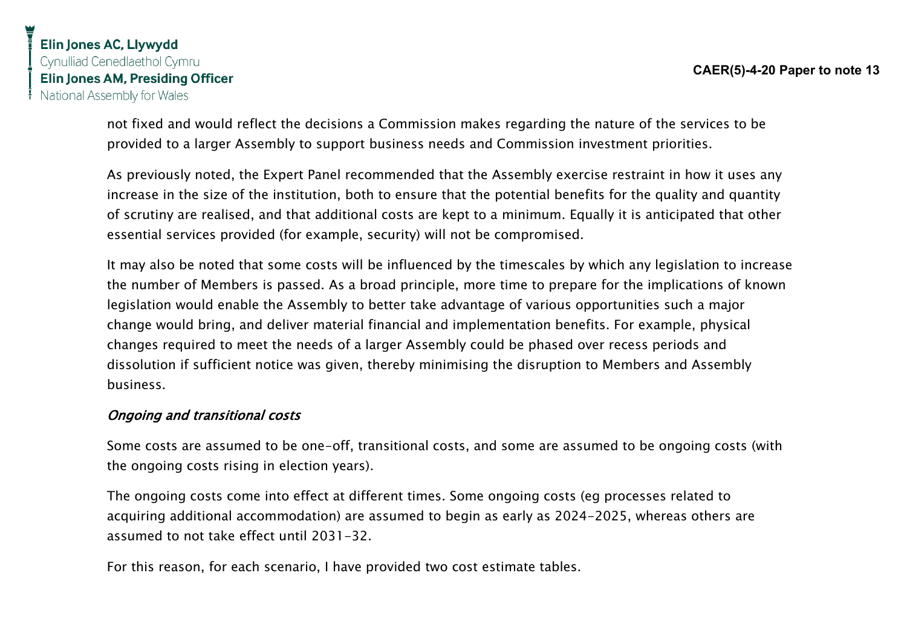not fixed and would reflect the decisions a Commission makes regarding the nature of the services to be provided to a larger Assembly to support business needs and Commission investment priorities.

As previously noted, the Expert Panel recommended that the Assembly exercise restraint in how it uses any increase in the size of the institution, both to ensure that the potential benefits for the quality and quantity of scrutiny are realised, and that additional costs are kept to a minimum. Equally it is anticipated that other essential services provided (for example, security) will not be compromised.

It may also be noted that some costs will be influenced by the timescales by which any legislation to increase the number of Members is passed. As a broad principle, more time to prepare for the implications of known legislation would enable the Assembly to better take advantage of various opportunities such a major change would bring, and deliver material financial and implementation benefits. For example, physical changes required to meet the needs of a larger Assembly could be phased over recess periods and dissolution if sufficient notice was given, thereby minimising the disruption to Members and Assembly business.

#### Ongoing and transitional costs

Some costs are assumed to be one-off, transitional costs, and some are assumed to be ongoing costs (with the ongoing costs rising in election years).

The ongoing costs come into effect at different times. Some ongoing costs (eg processes related to acquiring additional accommodation) are assumed to begin as early as 2024-2025, whereas others are assumed to not take effect until 2031-32.

For this reason, for each scenario, I have provided two cost estimate tables.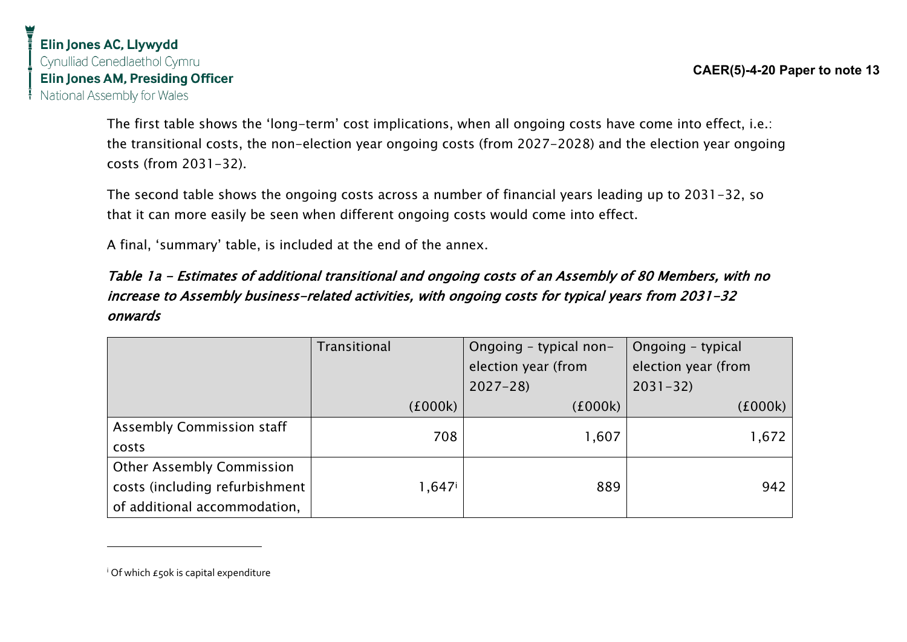The first table shows the 'long-term' cost implications, when all ongoing costs have come into effect, i.e.: the transitional costs, the non-election year ongoing costs (from 2027-2028) and the election year ongoing costs (from 2031-32).

The second table shows the ongoing costs across a number of financial years leading up to 2031-32, so that it can more easily be seen when different ongoing costs would come into effect.

A final, 'summary' table, is included at the end of the annex.

## Table 1a - Estimates of additional transitional and ongoing costs of an Assembly of 80 Members, with no increase to Assembly business-related activities, with ongoing costs for typical years from 2031-32 onwards

|                                  | <b>Transitional</b> | Ongoing - typical non- | Ongoing - typical   |
|----------------------------------|---------------------|------------------------|---------------------|
|                                  |                     | election year (from    | election year (from |
|                                  |                     | $2027 - 28$            | $2031 - 32$         |
|                                  | (£000k)             | (£000k)                | (f000k)             |
| <b>Assembly Commission staff</b> | 708                 | 1,607                  | 1,672               |
| costs                            |                     |                        |                     |
| <b>Other Assembly Commission</b> |                     |                        |                     |
| costs (including refurbishment   | 1,647i              | 889                    | 942                 |
| of additional accommodation,     |                     |                        |                     |

<sup>i</sup> Of which £50k is capital expenditure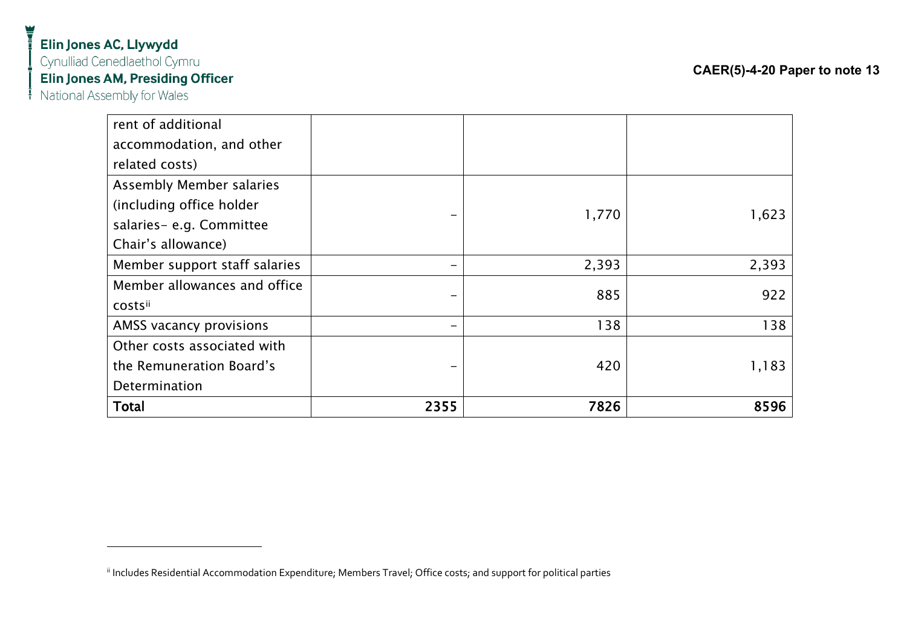| rent of additional              |      |       |       |
|---------------------------------|------|-------|-------|
| accommodation, and other        |      |       |       |
| related costs)                  |      |       |       |
| <b>Assembly Member salaries</b> |      |       |       |
| (including office holder        |      |       |       |
| salaries-e.g. Committee         |      | 1,770 | 1,623 |
| Chair's allowance)              |      |       |       |
| Member support staff salaries   |      | 2,393 | 2,393 |
| Member allowances and office    |      | 885   | 922   |
| costsii                         |      |       |       |
| AMSS vacancy provisions         |      | 138   | 138   |
| Other costs associated with     |      |       |       |
| the Remuneration Board's        |      | 420   | 1,183 |
| Determination                   |      |       |       |
| <b>Total</b>                    | 2355 | 7826  | 8596  |

ii Includes Residential Accommodation Expenditure; Members Travel; Office costs; and support for political parties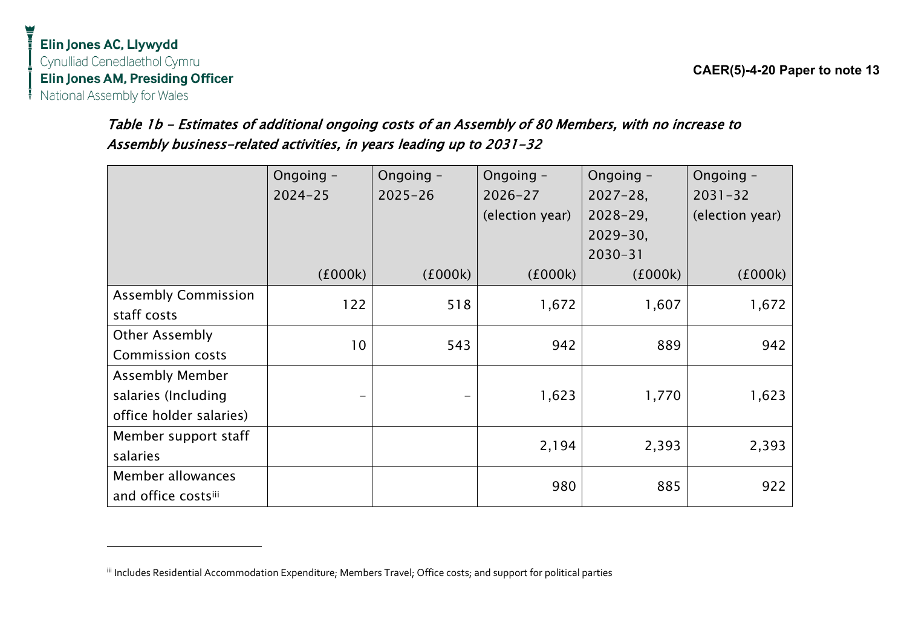## Table 1b - Estimates of additional ongoing costs of an Assembly of 80 Members, with no increase to Assembly business-related activities, in years leading up to 2031-32

|                            | Ongoing -   | Ongoing -   | Ongoing -       | Ongoing -     | Ongoing -       |
|----------------------------|-------------|-------------|-----------------|---------------|-----------------|
|                            | $2024 - 25$ | $2025 - 26$ | $2026 - 27$     | $2027 - 28$   | $2031 - 32$     |
|                            |             |             | (election year) | $2028 - 29$ , | (election year) |
|                            |             |             |                 | $2029 - 30$ , |                 |
|                            |             |             |                 | $2030 - 31$   |                 |
|                            | (£000k)     | (£000k)     | (£000k)         | (£000k)       | (£000k)         |
| <b>Assembly Commission</b> | 122         | 518         | 1,672           | 1,607         | 1,672           |
| staff costs                |             |             |                 |               |                 |
| <b>Other Assembly</b>      | 10          | 543         | 942             | 889           | 942             |
| <b>Commission costs</b>    |             |             |                 |               |                 |
| <b>Assembly Member</b>     |             |             |                 |               |                 |
| salaries (Including        |             |             | 1,623           | 1,770         | 1,623           |
| office holder salaries)    |             |             |                 |               |                 |
| Member support staff       |             |             | 2,194           | 2,393         | 2,393           |
| salaries                   |             |             |                 |               |                 |
| Member allowances          |             |             | 980             | 885           | 922             |
| and office costsili        |             |             |                 |               |                 |

iii Includes Residential Accommodation Expenditure; Members Travel; Office costs; and support for political parties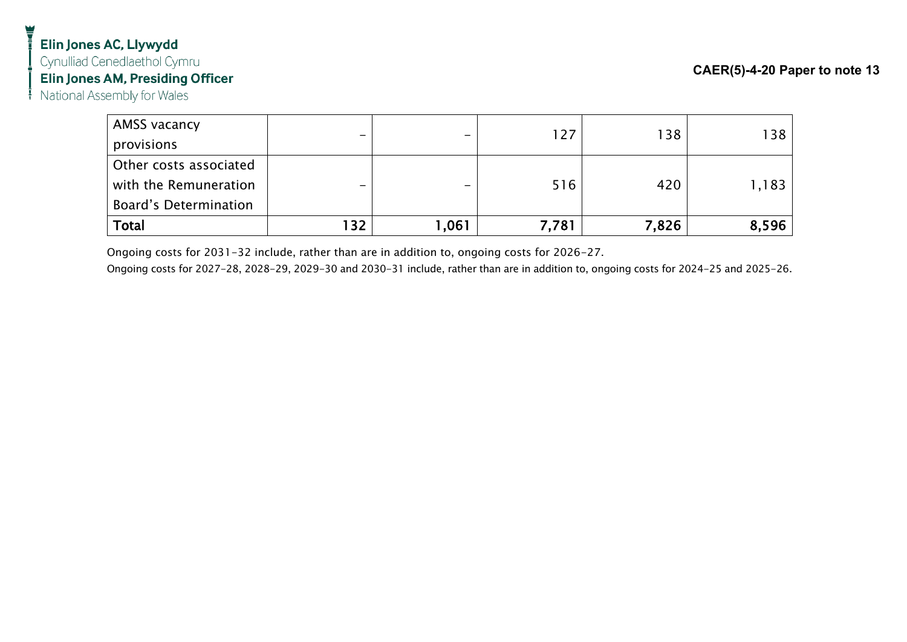| AMSS vacancy                 |                          |        |       |       |       |
|------------------------------|--------------------------|--------|-------|-------|-------|
| provisions                   | $\overline{\phantom{0}}$ |        | 127   | 138   | 138   |
| Other costs associated       |                          |        |       |       |       |
| with the Remuneration        | -                        |        | 516   | 420   | 1,183 |
| <b>Board's Determination</b> |                          |        |       |       |       |
| Total                        | 132                      | 061, ا | 7,781 | 7,826 | 8,596 |

Ongoing costs for 2031-32 include, rather than are in addition to, ongoing costs for 2026-27.

Ongoing costs for 2027-28, 2028-29, 2029-30 and 2030-31 include, rather than are in addition to, ongoing costs for 2024-25 and 2025-26.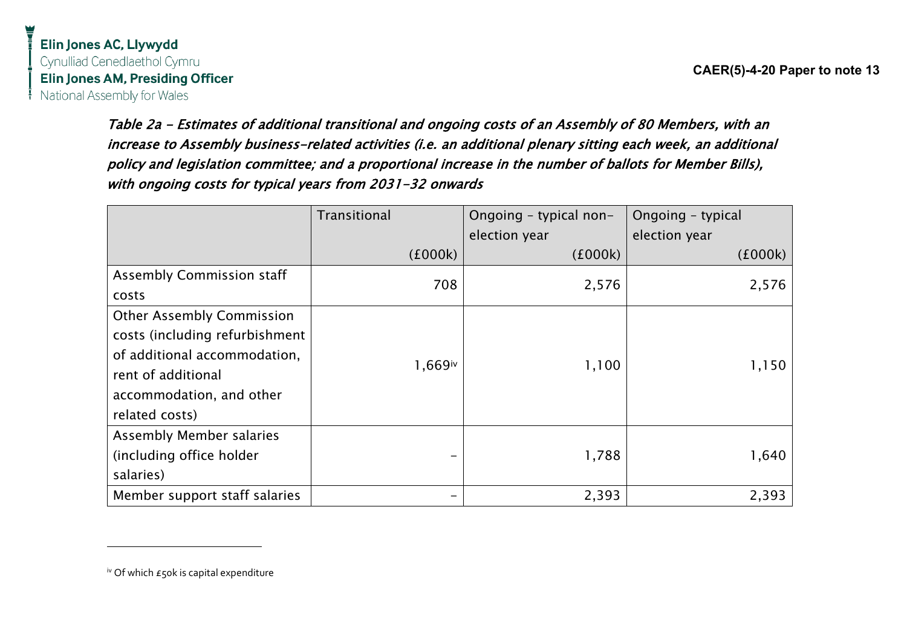> Table 2a - Estimates of additional transitional and ongoing costs of an Assembly of 80 Members, with an increase to Assembly business-related activities (i.e. an additional plenary sitting each week, an additional policy and legislation committee; and a proportional increase in the number of ballots for Member Bills), with ongoing costs for typical years from 2031-32 onwards

|                                  | Transitional<br>Ongoing - typical non- |               | Ongoing - typical |
|----------------------------------|----------------------------------------|---------------|-------------------|
|                                  |                                        | election year | election year     |
|                                  | (£000k)                                | (£000k)       | (£000k)           |
| <b>Assembly Commission staff</b> | 708                                    | 2,576         | 2,576             |
| costs                            |                                        |               |                   |
| <b>Other Assembly Commission</b> |                                        |               |                   |
| costs (including refurbishment   |                                        |               |                   |
| of additional accommodation,     | 1,669iv                                | 1,100         | 1,150             |
| rent of additional               |                                        |               |                   |
| accommodation, and other         |                                        |               |                   |
| related costs)                   |                                        |               |                   |
| <b>Assembly Member salaries</b>  |                                        |               |                   |
| (including office holder         |                                        | 1,788         | 1,640             |
| salaries)                        |                                        |               |                   |
| Member support staff salaries    |                                        | 2,393         | 2,393             |

 $\frac{1}{2}$ <sup>iv</sup> Of which  $\epsilon$  50k is capital expenditure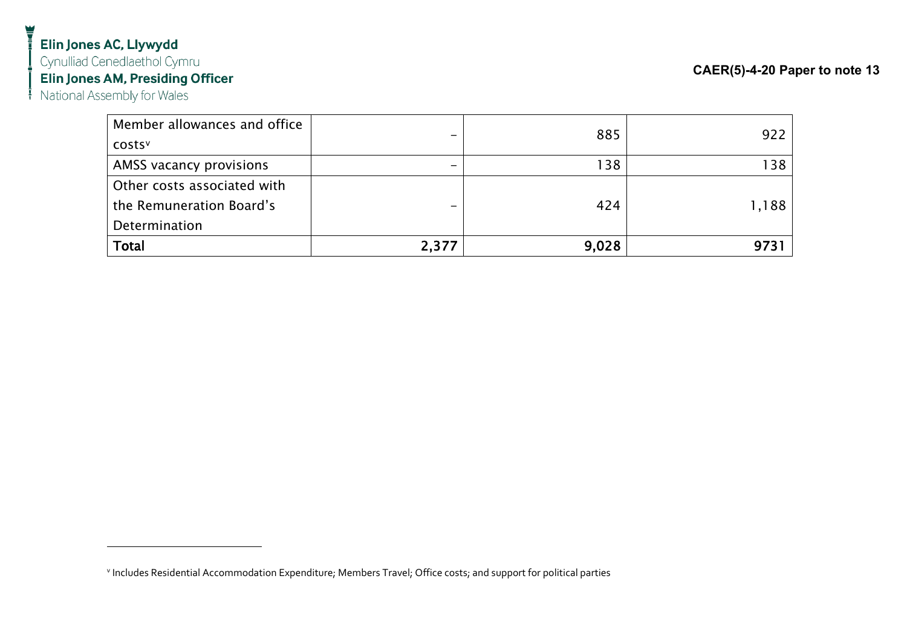# Elin Jones AC, Llywydd

Cynulliad Cenedlaethol Cymru

Elin Jones AM, Presiding Officer

 $\frac{1}{1}$  National Assembly for Wales

| Member allowances and office |       | 885   | 922   |
|------------------------------|-------|-------|-------|
| <b>COStS</b>                 |       |       |       |
| AMSS vacancy provisions      | -     | 138   | 138   |
| Other costs associated with  |       |       |       |
| the Remuneration Board's     |       | 424   | 1,188 |
| Determination                |       |       |       |
| <b>Total</b>                 | 2,377 | 9,028 |       |

v Includes Residential Accommodation Expenditure; Members Travel; Office costs; and support for political parties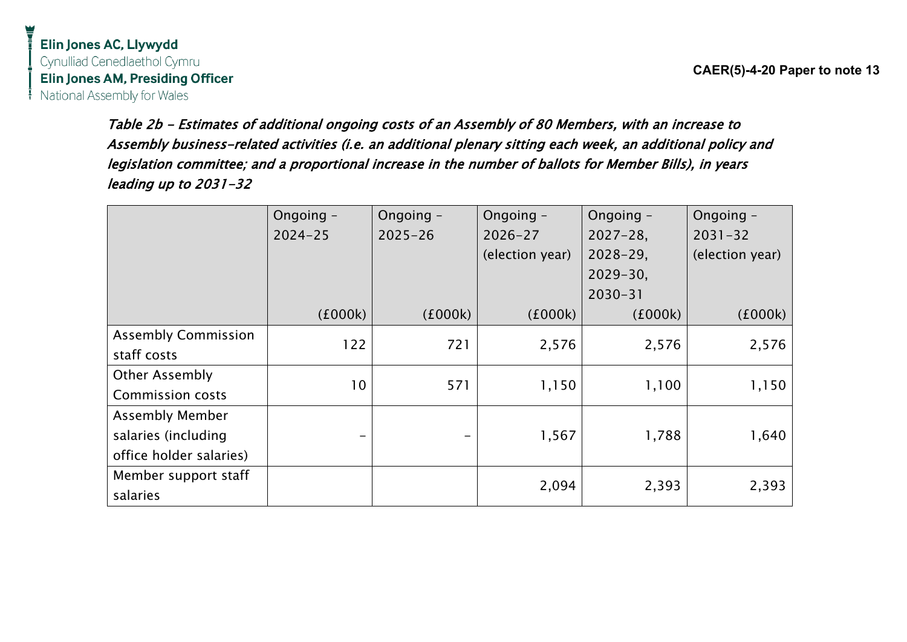**CAER(5)-4-20 Paper to note 13**

Table 2b - Estimates of additional ongoing costs of an Assembly of 80 Members, with an increase to Assembly business-related activities (i.e. an additional plenary sitting each week, an additional policy and legislation committee; and a proportional increase in the number of ballots for Member Bills), in years leading up to 2031-32

|                            | Ongoing -       | Ongoing -   | Ongoing -       | Ongoing -     | Ongoing -       |
|----------------------------|-----------------|-------------|-----------------|---------------|-----------------|
|                            | $2024 - 25$     | $2025 - 26$ | $2026 - 27$     | $2027 - 28$   | $2031 - 32$     |
|                            |                 |             | (election year) | $2028 - 29$ , | (election year) |
|                            |                 |             |                 | $2029 - 30$ , |                 |
|                            |                 |             |                 | $2030 - 31$   |                 |
|                            | (£000k)         | (£000k)     | (£000k)         | (£000k)       | (1000k)         |
| <b>Assembly Commission</b> | 122             | 721         | 2,576           | 2,576         | 2,576           |
| staff costs                |                 |             |                 |               |                 |
| <b>Other Assembly</b>      | 10 <sup>°</sup> | 571         | 1,150           | 1,100         | 1,150           |
| <b>Commission costs</b>    |                 |             |                 |               |                 |
| <b>Assembly Member</b>     |                 |             |                 |               |                 |
| salaries (including        |                 |             | 1,567           | 1,788         | 1,640           |
| office holder salaries)    |                 |             |                 |               |                 |
| Member support staff       |                 |             | 2,094           | 2,393         | 2,393           |
| salaries                   |                 |             |                 |               |                 |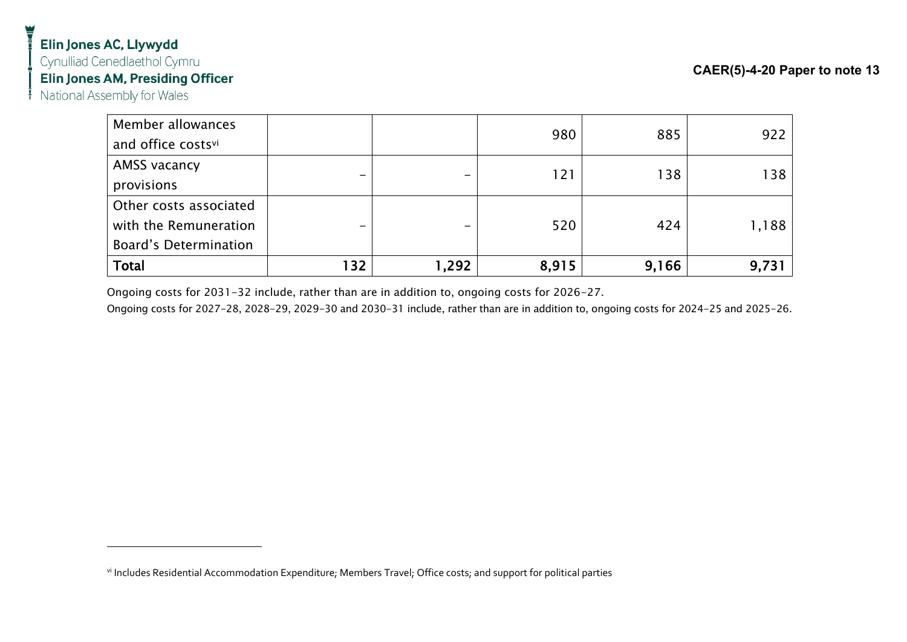## Elin Jones AC, Llywydd Cynulliad Cenedlaethol Cymru Elin Jones AM, Presiding Officer

National Assembly for Wales

| Member allowances            |     |       | 980   | 885   | 922   |
|------------------------------|-----|-------|-------|-------|-------|
| and office costsvi           |     |       |       |       |       |
| AMSS vacancy                 |     |       | 121   | 138   | 138   |
| provisions                   |     |       |       |       |       |
| Other costs associated       |     |       |       |       |       |
| with the Remuneration        |     | -     | 520   | 424   | 1,188 |
| <b>Board's Determination</b> |     |       |       |       |       |
| <b>Total</b>                 | 132 | 1,292 | 8,915 | 9,166 | 9,731 |

Ongoing costs for 2031-32 include, rather than are in addition to, ongoing costs for 2026-27.

Ongoing costs for 2027-28, 2028-29, 2029-30 and 2030-31 include, rather than are in addition to, ongoing costs for 2024-25 and 2025-26.

vi Includes Residential Accommodation Expenditure; Members Travel; Office costs; and support for political parties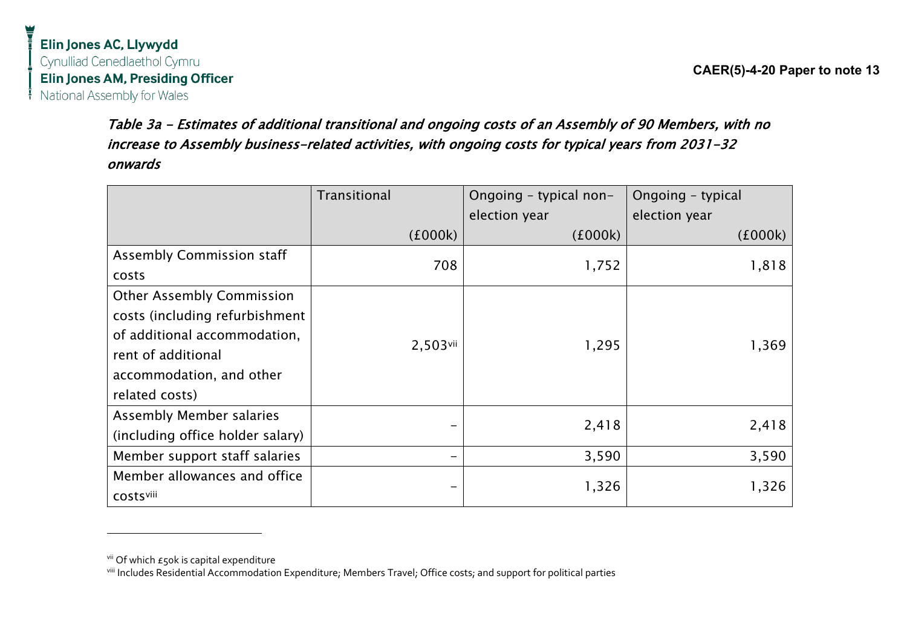> Table 3a - Estimates of additional transitional and ongoing costs of an Assembly of 90 Members, with no increase to Assembly business-related activities, with ongoing costs for typical years from 2031-32 onwards

|                                  | Transitional | Ongoing - typical non- | Ongoing - typical |
|----------------------------------|--------------|------------------------|-------------------|
|                                  |              | election year          | election year     |
|                                  | (£000k)      | (£000k)                | (£000k)           |
| <b>Assembly Commission staff</b> | 708          | 1,752                  | 1,818             |
| costs                            |              |                        |                   |
| <b>Other Assembly Commission</b> |              |                        |                   |
| costs (including refurbishment   |              |                        |                   |
| of additional accommodation,     | 2,503vii     | 1,295                  | 1,369             |
| rent of additional               |              |                        |                   |
| accommodation, and other         |              |                        |                   |
| related costs)                   |              |                        |                   |
| <b>Assembly Member salaries</b>  |              | 2,418                  | 2,418             |
| (including office holder salary) |              |                        |                   |
| Member support staff salaries    |              | 3,590                  | 3,590             |
| Member allowances and office     |              | 1,326                  | 1,326             |
| <b>COStSVIII</b>                 |              |                        |                   |

vii Of which  $\epsilon$ 50k is capital expenditure

viii Includes Residential Accommodation Expenditure; Members Travel; Office costs; and support for political parties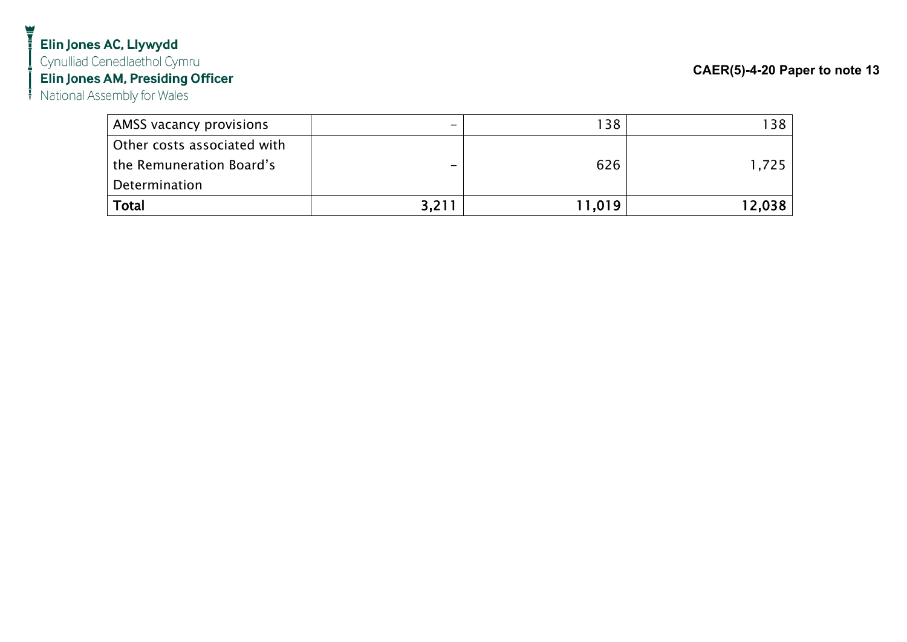## Elin Jones AC, Llywydd Cynulliad Cenedlaethol Cymru Elin Jones AM, Presiding Officer

National Assembly for Wales

| AMSS vacancy provisions     | -     | 138    | 138.   |
|-----------------------------|-------|--------|--------|
| Other costs associated with |       |        |        |
| the Remuneration Board's    |       | 626    | 1.725  |
| Determination               |       |        |        |
| <b>Total</b>                | 3,211 | 11,019 | 12,038 |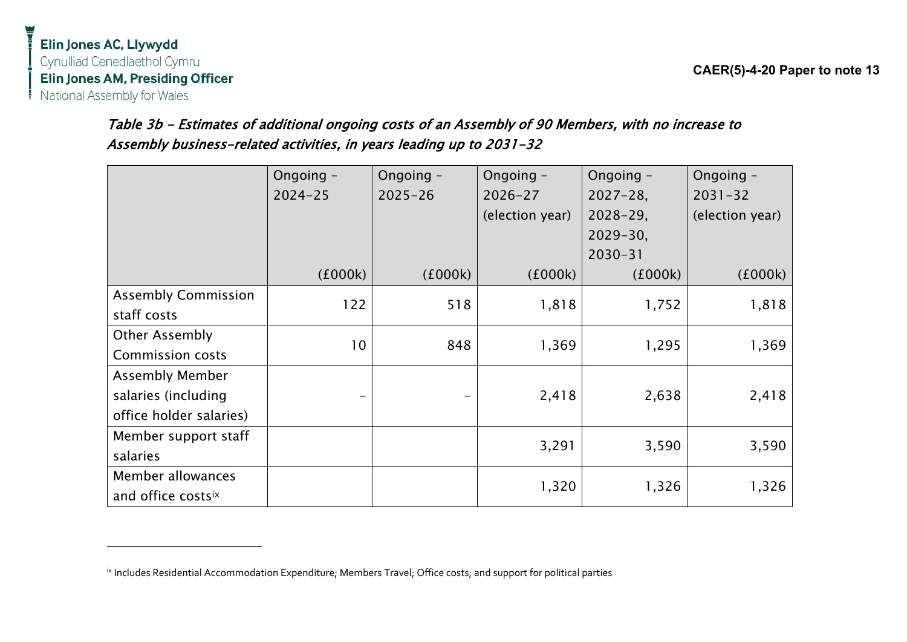## Table 3b - Estimates of additional ongoing costs of an Assembly of 90 Members, with no increase to Assembly business-related activities, in years leading up to 2031-32

|                            | Ongoing -       | Ongoing -   | Ongoing -       | Ongoing -     | Ongoing -       |
|----------------------------|-----------------|-------------|-----------------|---------------|-----------------|
|                            | $2024 - 25$     | $2025 - 26$ | $2026 - 27$     | $2027 - 28$   | $2031 - 32$     |
|                            |                 |             | (election year) | $2028 - 29$ , | (election year) |
|                            |                 |             |                 | $2029 - 30,$  |                 |
|                            |                 |             |                 | $2030 - 31$   |                 |
|                            | (£000k)         | (£000k)     | (£000k)         | (£000k)       | (£000k)         |
| <b>Assembly Commission</b> | 122             | 518         | 1,818           | 1,752         | 1,818           |
| staff costs                |                 |             |                 |               |                 |
| <b>Other Assembly</b>      | 10 <sup>°</sup> | 848         | 1,369           | 1,295         | 1,369           |
| <b>Commission costs</b>    |                 |             |                 |               |                 |
| <b>Assembly Member</b>     |                 |             |                 |               |                 |
| salaries (including        |                 |             | 2,418           | 2,638         | 2,418           |
| office holder salaries)    |                 |             |                 |               |                 |
| Member support staff       |                 |             | 3,291           | 3,590         | 3,590           |
| salaries                   |                 |             |                 |               |                 |
| Member allowances          |                 |             | 1,320           | 1,326         | 1,326           |
| and office costsix         |                 |             |                 |               |                 |

<sup>&</sup>lt;sup>ix</sup> Includes Residential Accommodation Expenditure; Members Travel; Office costs; and support for political parties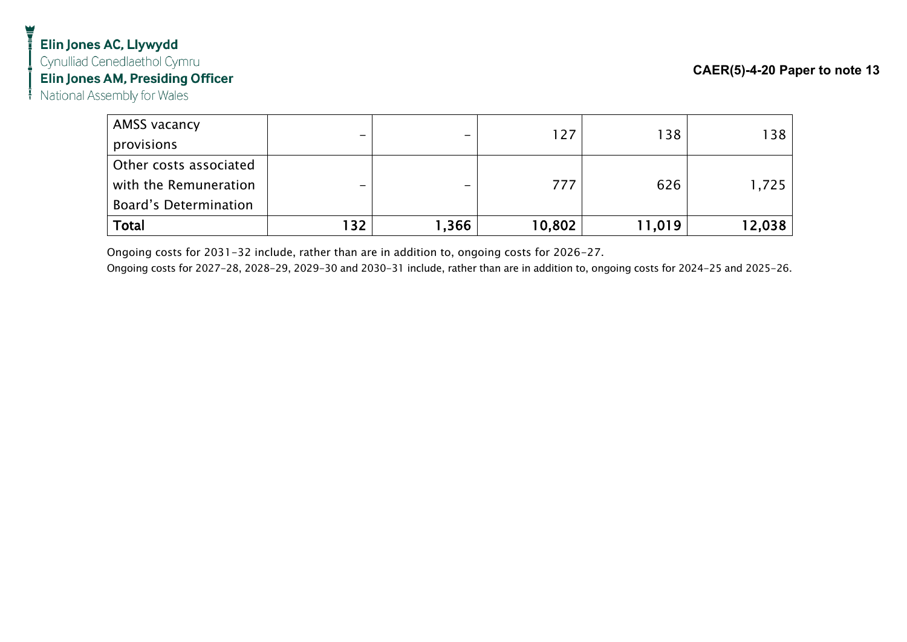| AMSS vacancy           |                          |        |        |        |        |
|------------------------|--------------------------|--------|--------|--------|--------|
| provisions             | $\overline{\phantom{0}}$ |        | 127    | 138    | 138    |
| Other costs associated |                          |        |        |        |        |
| with the Remuneration  | -                        |        | 777    | 626    | 1,725  |
| Board's Determination  |                          |        |        |        |        |
| Total                  | 132                      | 366, ا | 10,802 | 11,019 | 12,038 |

Ongoing costs for 2031-32 include, rather than are in addition to, ongoing costs for 2026-27.

Ongoing costs for 2027-28, 2028-29, 2029-30 and 2030-31 include, rather than are in addition to, ongoing costs for 2024-25 and 2025-26.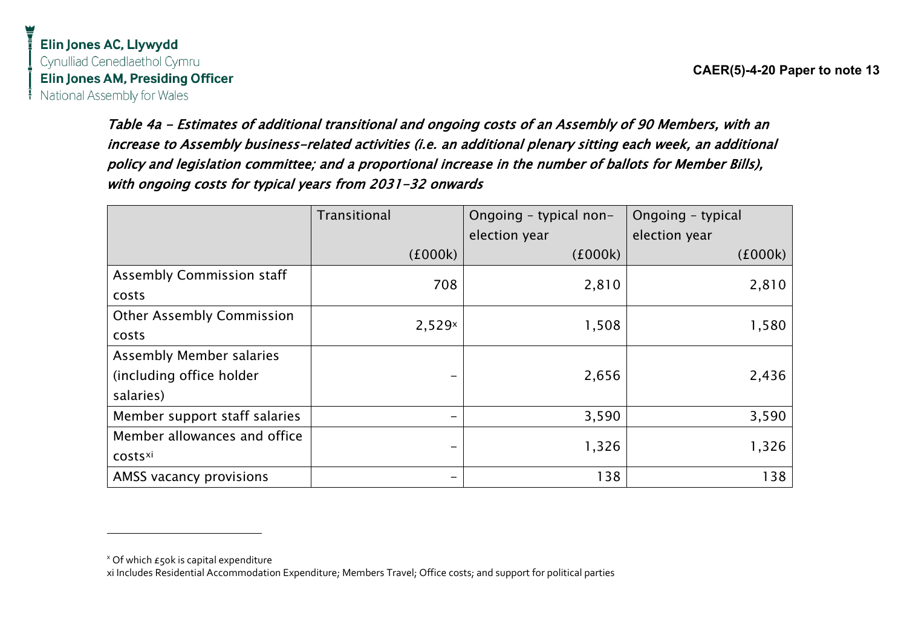Table 4a - Estimates of additional transitional and ongoing costs of an Assembly of 90 Members, with an increase to Assembly business-related activities (i.e. an additional plenary sitting each week, an additional policy and legislation committee; and a proportional increase in the number of ballots for Member Bills),

Transitional Ongoing – typical nonelection year Ongoing – typical election year  $(£000k)$  ( $£000k)$  ( $£000k)$  ( $£000k)$ Assembly Commission staff costs 708 2,810 2,810 Other Assembly Commission costs  $2,529^{\times}$  1,508 1,580 Assembly Member salaries (including office holder salaries) - 2,656 2,436 Member support staff salaries  $\vert$   $\vert$   $\vert$   $\vert$   $\vert$   $\vert$   $\vert$  3,590  $\vert$  3,590 3,590 Member allowances and office costsxi - 1,326 1,326 AMSS vacancy provisions 138 138

with ongoing costs for typical years from 2031-32 onwards

 $x$  Of which  $E$ 50k is capital expenditure

xi Includes Residential Accommodation Expenditure; Members Travel; Office costs; and support for political parties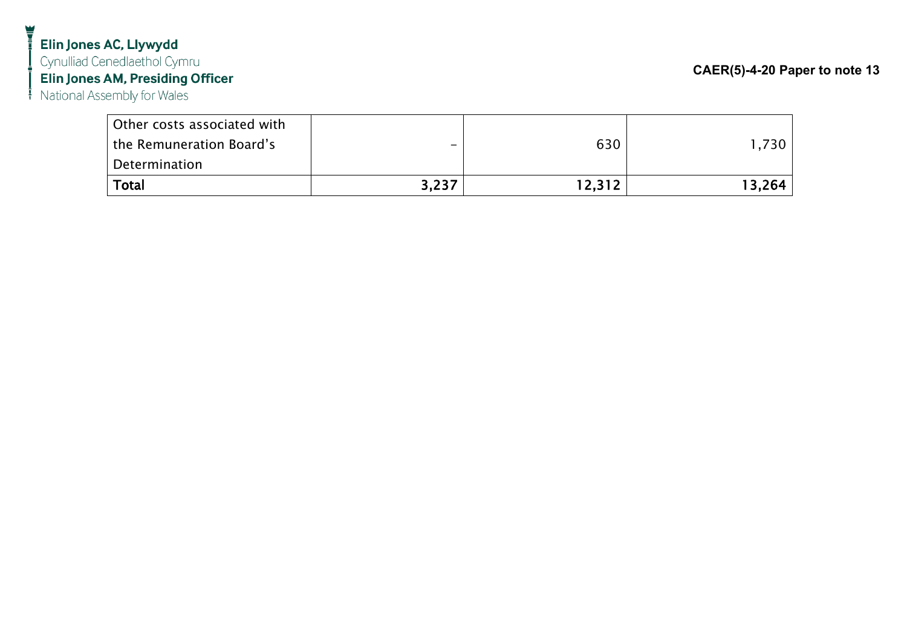## Elin Jones AC, Llywydd Cynulliad Cenedlaethol Cymru Elin Jones AM, Presiding Officer

National Assembly for Wales

| Total                       | 3,237 | 12.312 | 13.264 |
|-----------------------------|-------|--------|--------|
| Determination               |       |        |        |
| the Remuneration Board's    | -     | 630    | 1.730  |
| Other costs associated with |       |        |        |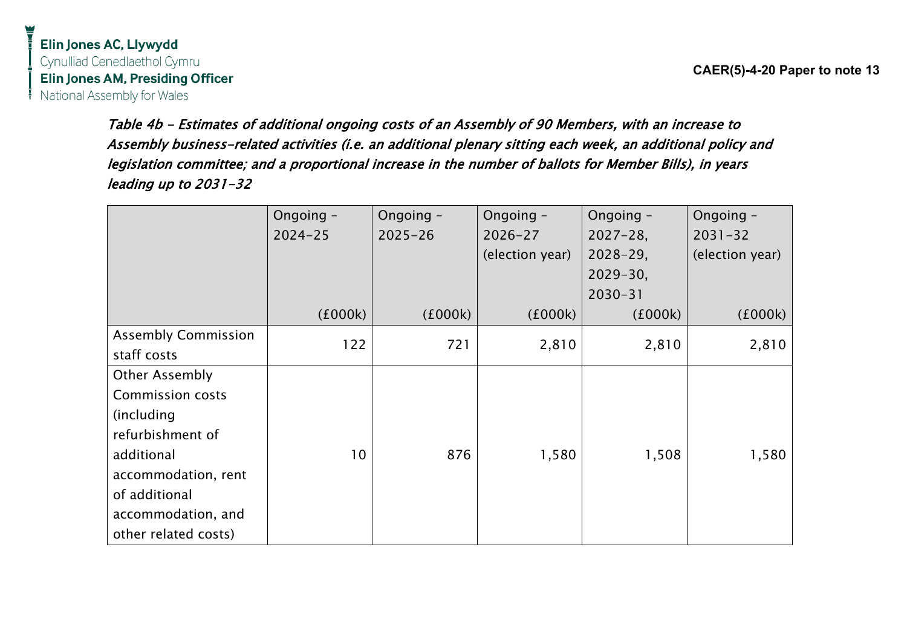**CAER(5)-4-20 Paper to note 13**

Table 4b - Estimates of additional ongoing costs of an Assembly of 90 Members, with an increase to Assembly business-related activities (i.e. an additional plenary sitting each week, an additional policy and legislation committee; and a proportional increase in the number of ballots for Member Bills), in years leading up to 2031-32

|                            | Ongoing -       | Ongoing -   | Ongoing -       | Ongoing -     | Ongoing -       |
|----------------------------|-----------------|-------------|-----------------|---------------|-----------------|
|                            | $2024 - 25$     | $2025 - 26$ | $2026 - 27$     | $2027 - 28$   | $2031 - 32$     |
|                            |                 |             | (election year) | $2028 - 29$ , | (election year) |
|                            |                 |             |                 | $2029 - 30,$  |                 |
|                            |                 |             |                 | $2030 - 31$   |                 |
|                            | (£000k)         | (£000k)     | (£000k)         | (£000k)       | (£000k)         |
| <b>Assembly Commission</b> | 122             | 721         |                 | 2,810         |                 |
| staff costs                |                 |             | 2,810           |               | 2,810           |
| <b>Other Assembly</b>      |                 |             |                 |               |                 |
| <b>Commission costs</b>    |                 |             |                 |               |                 |
| (including)                |                 |             |                 |               |                 |
| refurbishment of           |                 |             |                 |               |                 |
| additional                 | 10 <sup>°</sup> | 876         | 1,580           | 1,508         | 1,580           |
| accommodation, rent        |                 |             |                 |               |                 |
| of additional              |                 |             |                 |               |                 |
| accommodation, and         |                 |             |                 |               |                 |
| other related costs)       |                 |             |                 |               |                 |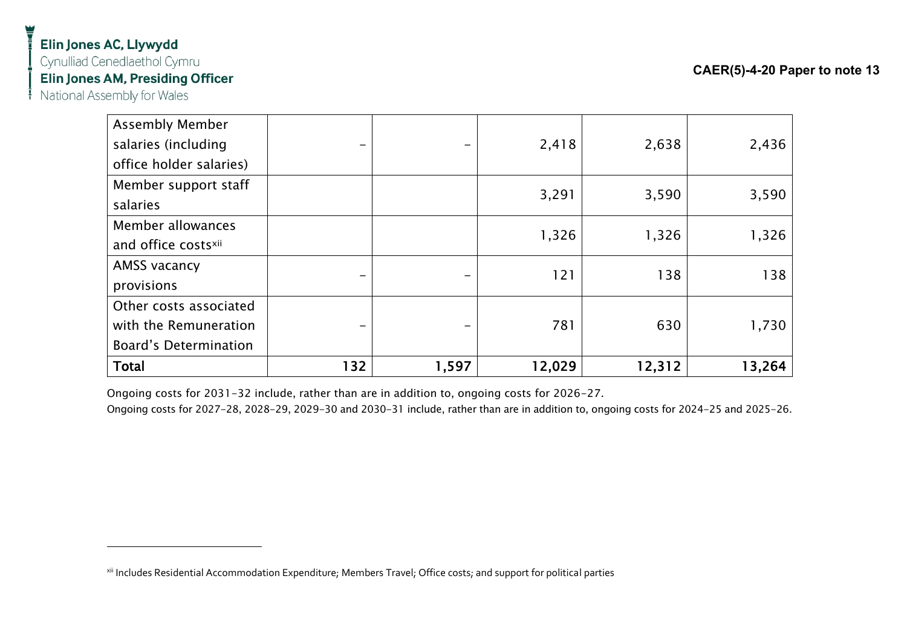## Elin Jones AC, Llywydd Cynulliad Cenedlaethol Cymru Elin Jones AM, Presiding Officer

National Assembly for Wales

| <b>Assembly Member</b>       |     |       |        |        |        |
|------------------------------|-----|-------|--------|--------|--------|
| salaries (including          |     |       | 2,418  | 2,638  | 2,436  |
| office holder salaries)      |     |       |        |        |        |
| Member support staff         |     |       | 3,291  | 3,590  | 3,590  |
| salaries                     |     |       |        |        |        |
| Member allowances            |     |       | 1,326  | 1,326  | 1,326  |
| and office costsxii          |     |       |        |        |        |
| AMSS vacancy                 |     |       | 121    | 138    | 138    |
| provisions                   |     |       |        |        |        |
| Other costs associated       |     |       |        |        |        |
| with the Remuneration        |     |       | 781    | 630    | 1,730  |
| <b>Board's Determination</b> |     |       |        |        |        |
| <b>Total</b>                 | 132 | 1,597 | 12,029 | 12,312 | 13,264 |

Ongoing costs for 2031-32 include, rather than are in addition to, ongoing costs for 2026-27.

Ongoing costs for 2027-28, 2028-29, 2029-30 and 2030-31 include, rather than are in addition to, ongoing costs for 2024-25 and 2025-26.

<sup>&</sup>lt;sup>xii</sup> Includes Residential Accommodation Expenditure; Members Travel; Office costs; and support for political parties